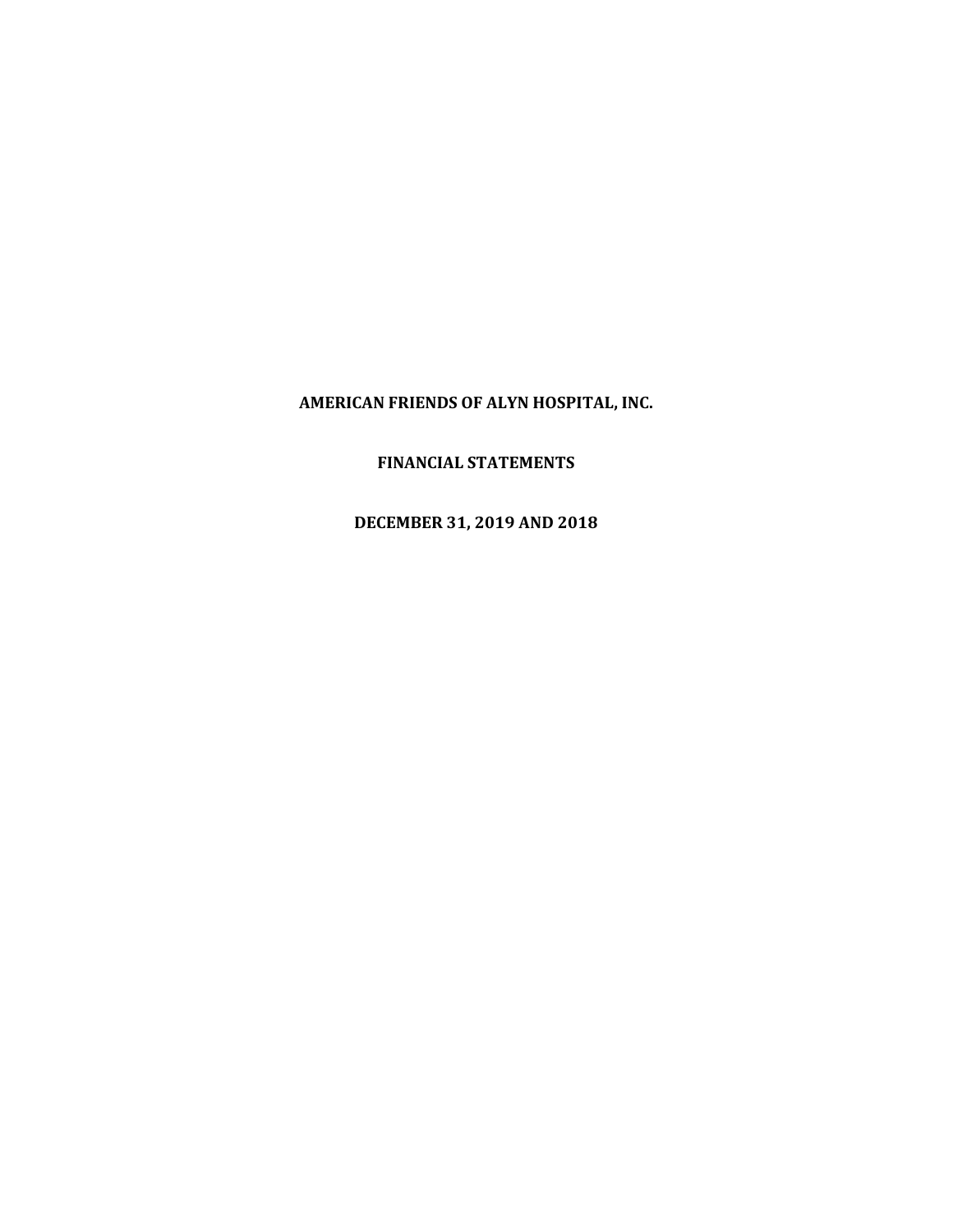# **FINANCIAL STATEMENTS**

**DECEMBER 31, 2019 AND 2018**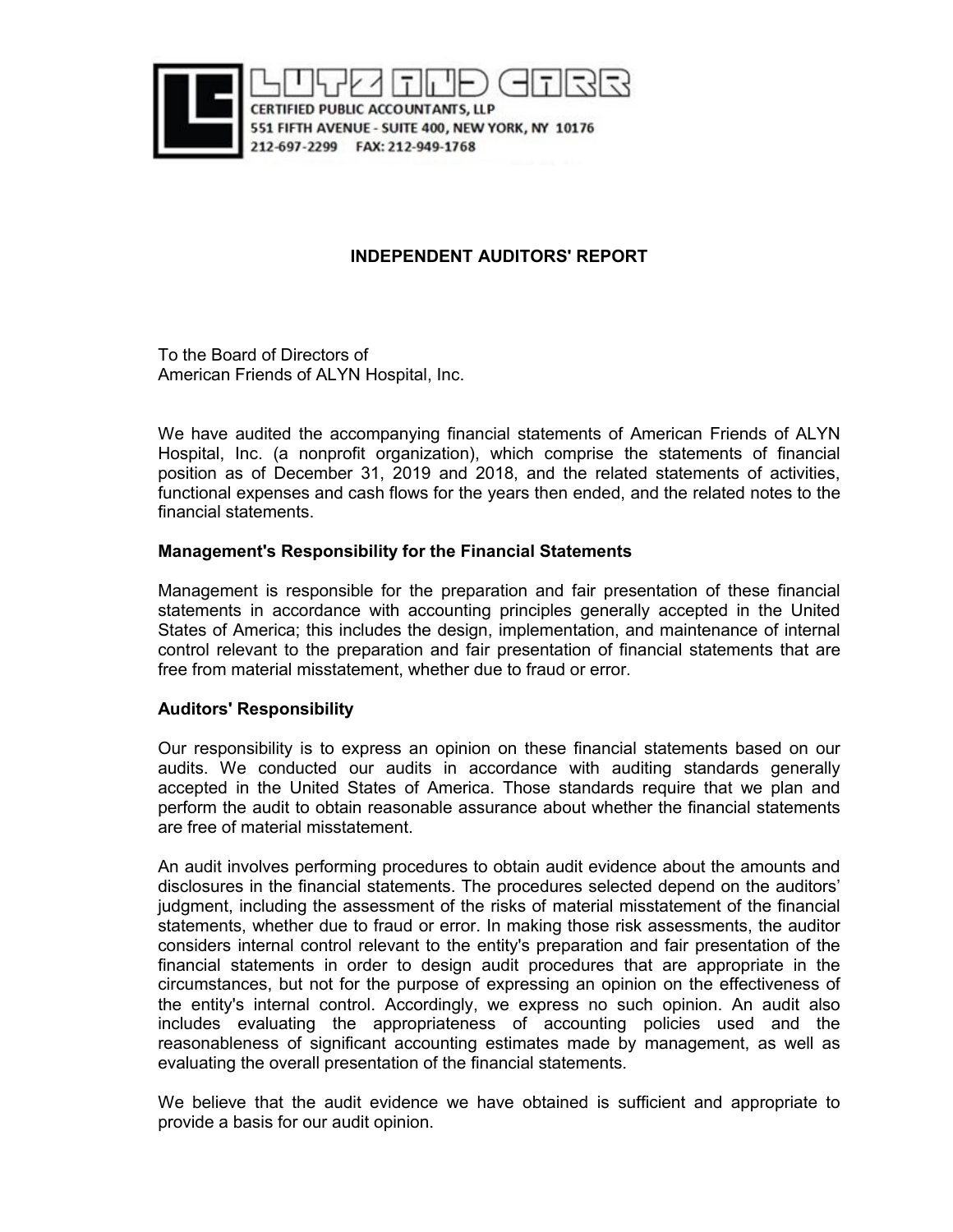

# **INDEPENDENT AUDITORS' REPORT**

To the Board of Directors of American Friends of ALYN Hospital, Inc.

We have audited the accompanying financial statements of American Friends of ALYN Hospital, Inc. (a nonprofit organization), which comprise the statements of financial position as of December 31, 2019 and 2018, and the related statements of activities, functional expenses and cash flows for the years then ended, and the related notes to the financial statements.

### **Management's Responsibility for the Financial Statements**

Management is responsible for the preparation and fair presentation of these financial statements in accordance with accounting principles generally accepted in the United States of America; this includes the design, implementation, and maintenance of internal control relevant to the preparation and fair presentation of financial statements that are free from material misstatement, whether due to fraud or error.

# **Auditors' Responsibility**

Our responsibility is to express an opinion on these financial statements based on our audits. We conducted our audits in accordance with auditing standards generally accepted in the United States of America. Those standards require that we plan and perform the audit to obtain reasonable assurance about whether the financial statements are free of material misstatement.

An audit involves performing procedures to obtain audit evidence about the amounts and disclosures in the financial statements. The procedures selected depend on the auditors' judgment, including the assessment of the risks of material misstatement of the financial statements, whether due to fraud or error. In making those risk assessments, the auditor considers internal control relevant to the entity's preparation and fair presentation of the financial statements in order to design audit procedures that are appropriate in the circumstances, but not for the purpose of expressing an opinion on the effectiveness of the entity's internal control. Accordingly, we express no such opinion. An audit also includes evaluating the appropriateness of accounting policies used and the reasonableness of significant accounting estimates made by management, as well as evaluating the overall presentation of the financial statements.

We believe that the audit evidence we have obtained is sufficient and appropriate to provide a basis for our audit opinion.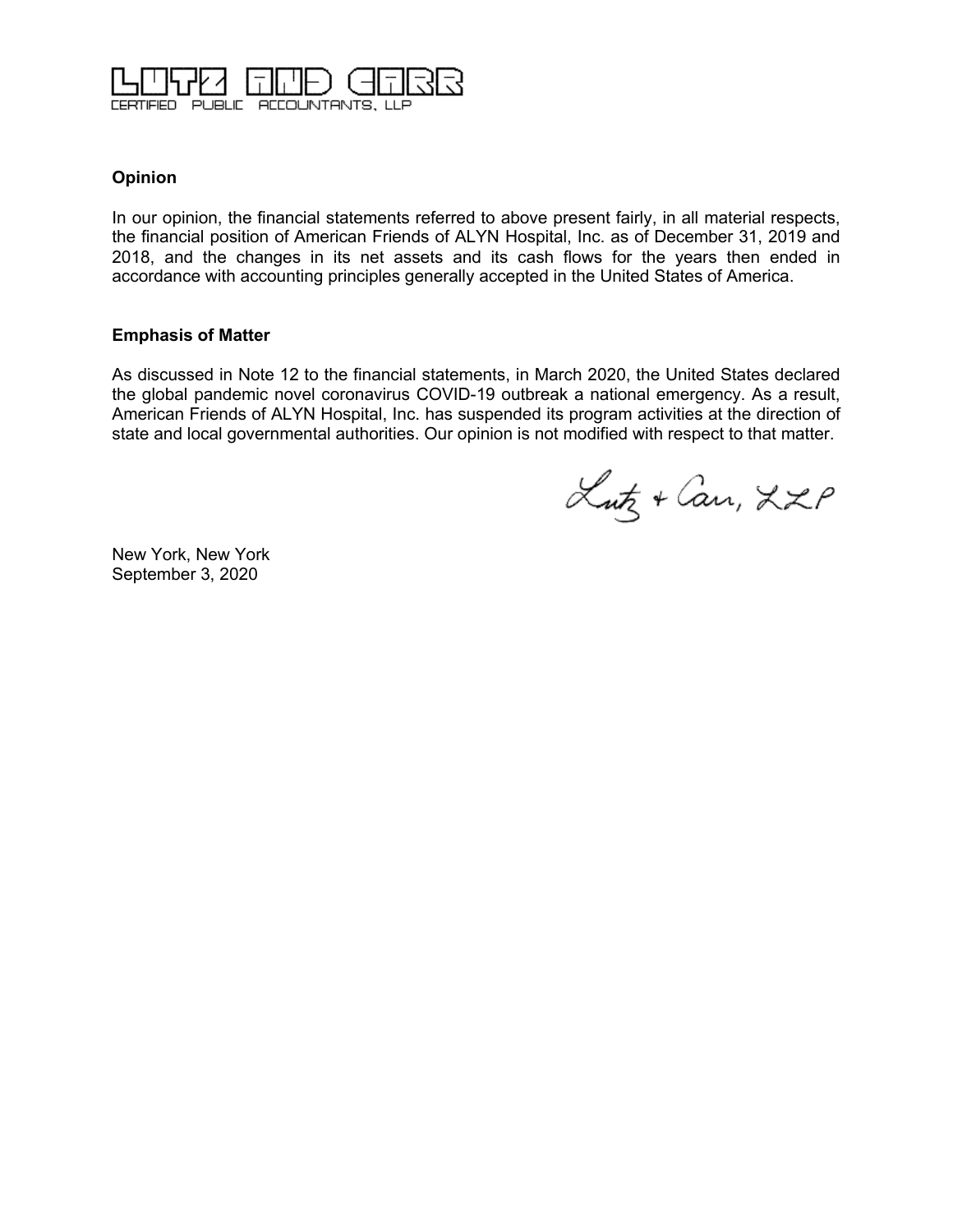

# **Opinion**

In our opinion, the financial statements referred to above present fairly, in all material respects, the financial position of American Friends of ALYN Hospital, Inc. as of December 31, 2019 and 2018, and the changes in its net assets and its cash flows for the years then ended in accordance with accounting principles generally accepted in the United States of America.

### **Emphasis of Matter**

As discussed in Note 12 to the financial statements, in March 2020, the United States declared the global pandemic novel coronavirus COVID-19 outbreak a national emergency. As a result, American Friends of ALYN Hospital, Inc. has suspended its program activities at the direction of state and local governmental authorities. Our opinion is not modified with respect to that matter.

Lutz + Can, LZP

New York, New York September 3, 2020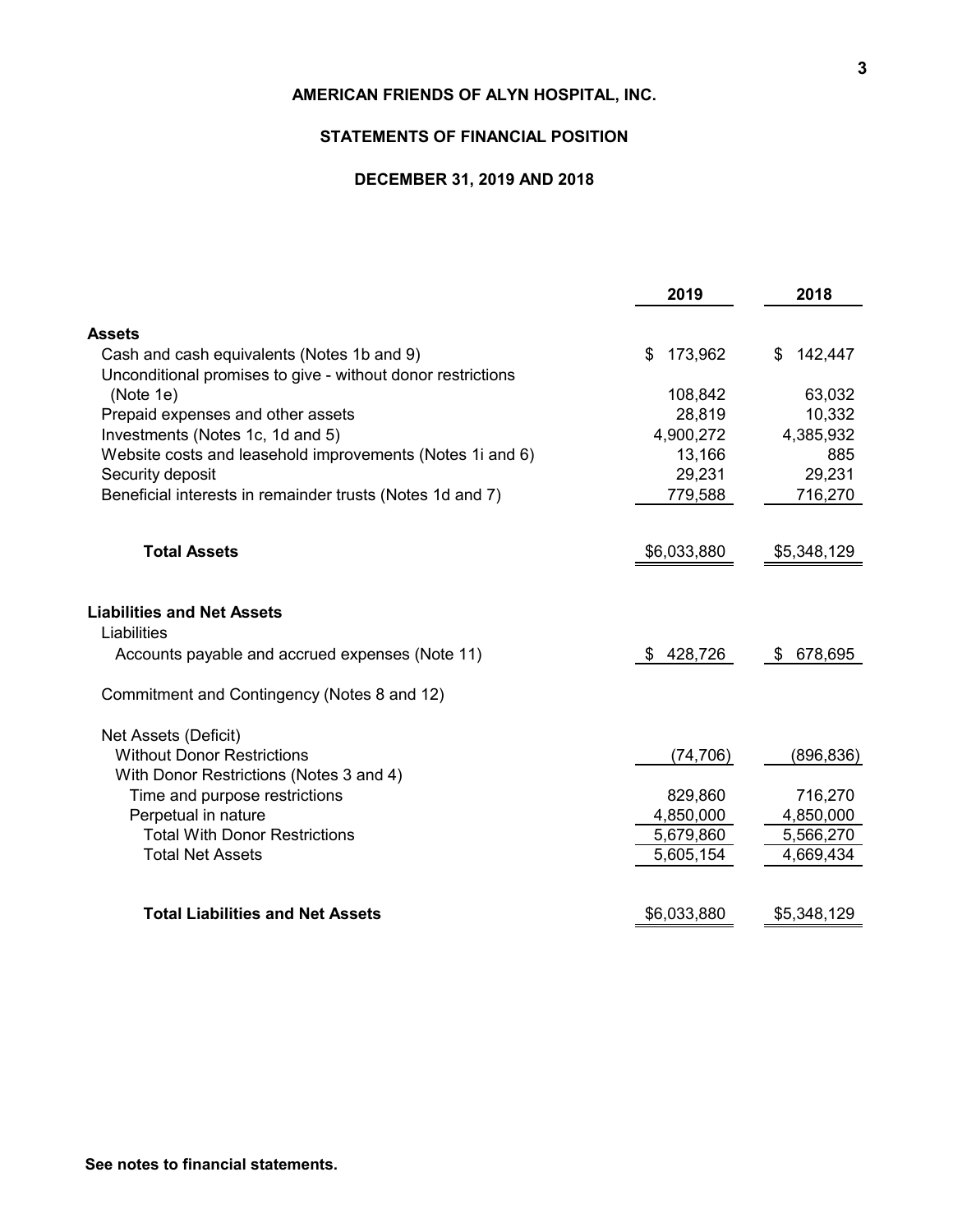### **STATEMENTS OF FINANCIAL POSITION**

# **DECEMBER 31, 2019 AND 2018**

|                                                             | 2019          | 2018                |
|-------------------------------------------------------------|---------------|---------------------|
| Assets                                                      |               |                     |
|                                                             |               |                     |
| Cash and cash equivalents (Notes 1b and 9)                  | 173,962<br>\$ | 142,447<br>\$       |
| Unconditional promises to give - without donor restrictions |               |                     |
| (Note 1e)                                                   | 108,842       | 63,032              |
| Prepaid expenses and other assets                           | 28,819        | 10,332<br>4,385,932 |
| Investments (Notes 1c, 1d and 5)                            | 4,900,272     | 885                 |
| Website costs and leasehold improvements (Notes 1i and 6)   | 13,166        |                     |
| Security deposit                                            | 29,231        | 29,231              |
| Beneficial interests in remainder trusts (Notes 1d and 7)   | 779,588       | 716,270             |
|                                                             |               |                     |
| <b>Total Assets</b>                                         | \$6,033,880   | \$5,348,129         |
|                                                             |               |                     |
| <b>Liabilities and Net Assets</b>                           |               |                     |
| Liabilities                                                 |               |                     |
| Accounts payable and accrued expenses (Note 11)             | 428,726<br>\$ | 678,695<br>\$       |
| Commitment and Contingency (Notes 8 and 12)                 |               |                     |
| Net Assets (Deficit)                                        |               |                     |
| <b>Without Donor Restrictions</b>                           | (74, 706)     | (896, 836)          |
| With Donor Restrictions (Notes 3 and 4)                     |               |                     |
| Time and purpose restrictions                               | 829,860       | 716,270             |
| Perpetual in nature                                         | 4,850,000     | 4,850,000           |
| <b>Total With Donor Restrictions</b>                        | 5,679,860     | 5,566,270           |
| <b>Total Net Assets</b>                                     | 5,605,154     | 4,669,434           |
|                                                             |               |                     |
| <b>Total Liabilities and Net Assets</b>                     | \$6,033,880   | \$5,348,129         |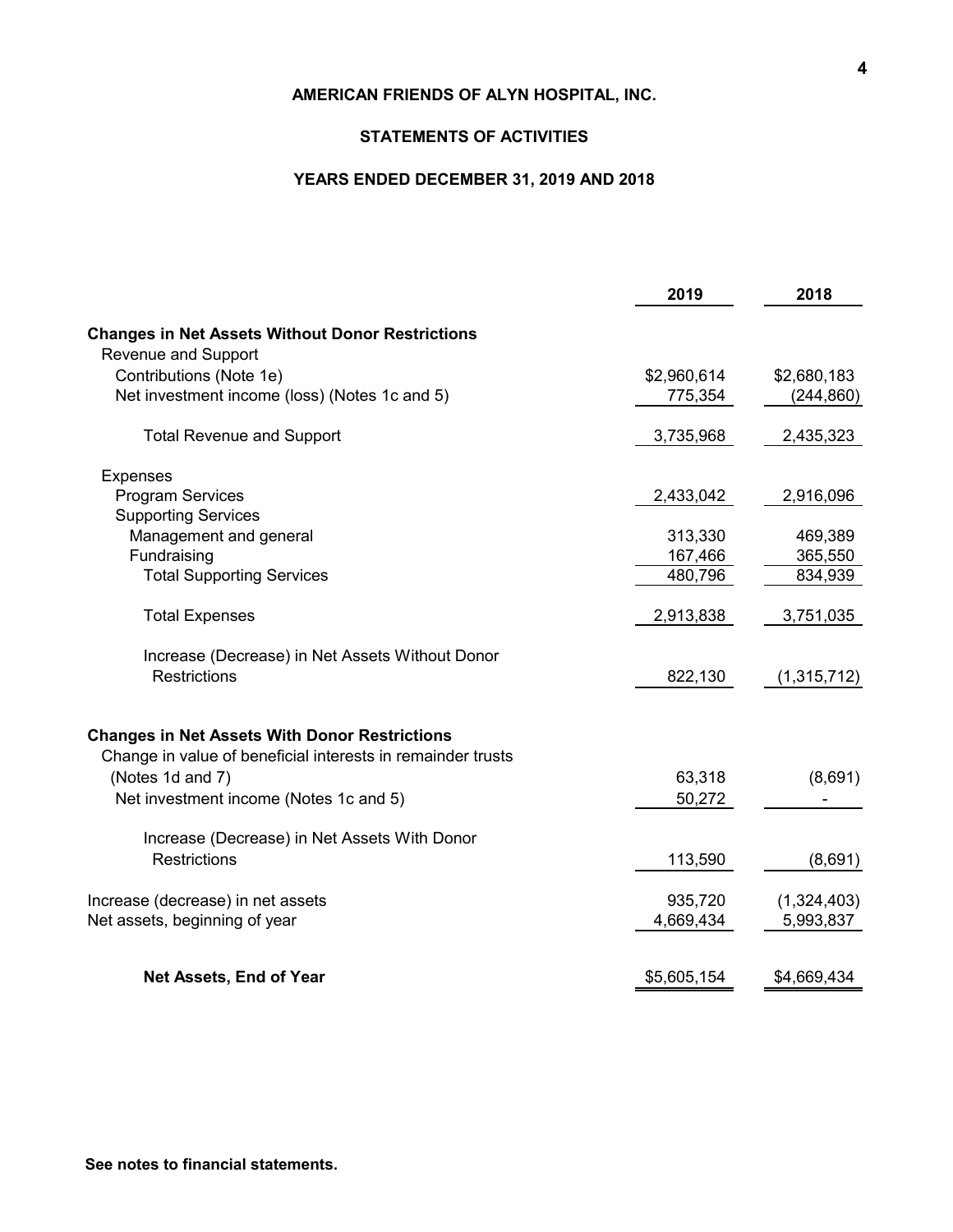### **STATEMENTS OF ACTIVITIES**

# **YEARS ENDED DECEMBER 31, 2019 AND 2018**

|                                                                                                                     | 2019        | 2018        |
|---------------------------------------------------------------------------------------------------------------------|-------------|-------------|
| <b>Changes in Net Assets Without Donor Restrictions</b>                                                             |             |             |
| Revenue and Support                                                                                                 |             |             |
| Contributions (Note 1e)                                                                                             | \$2,960,614 | \$2,680,183 |
| Net investment income (loss) (Notes 1c and 5)                                                                       | 775,354     | (244, 860)  |
| <b>Total Revenue and Support</b>                                                                                    | 3,735,968   | 2,435,323   |
| <b>Expenses</b>                                                                                                     |             |             |
| <b>Program Services</b>                                                                                             | 2,433,042   | 2,916,096   |
| <b>Supporting Services</b>                                                                                          |             |             |
| Management and general                                                                                              | 313,330     | 469,389     |
| Fundraising                                                                                                         | 167,466     | 365,550     |
| <b>Total Supporting Services</b>                                                                                    | 480,796     | 834,939     |
| <b>Total Expenses</b>                                                                                               | 2,913,838   | 3,751,035   |
| Increase (Decrease) in Net Assets Without Donor                                                                     |             |             |
| <b>Restrictions</b>                                                                                                 | 822,130     | (1,315,712) |
| <b>Changes in Net Assets With Donor Restrictions</b><br>Change in value of beneficial interests in remainder trusts |             |             |
| (Notes 1d and 7)                                                                                                    | 63,318      | (8,691)     |
| Net investment income (Notes 1c and 5)                                                                              | 50,272      |             |
| Increase (Decrease) in Net Assets With Donor                                                                        |             |             |
| <b>Restrictions</b>                                                                                                 | 113,590     | (8,691)     |
| Increase (decrease) in net assets                                                                                   | 935,720     | (1,324,403) |
| Net assets, beginning of year                                                                                       | 4,669,434   | 5,993,837   |
|                                                                                                                     |             |             |
| Net Assets, End of Year                                                                                             | \$5,605,154 | \$4,669,434 |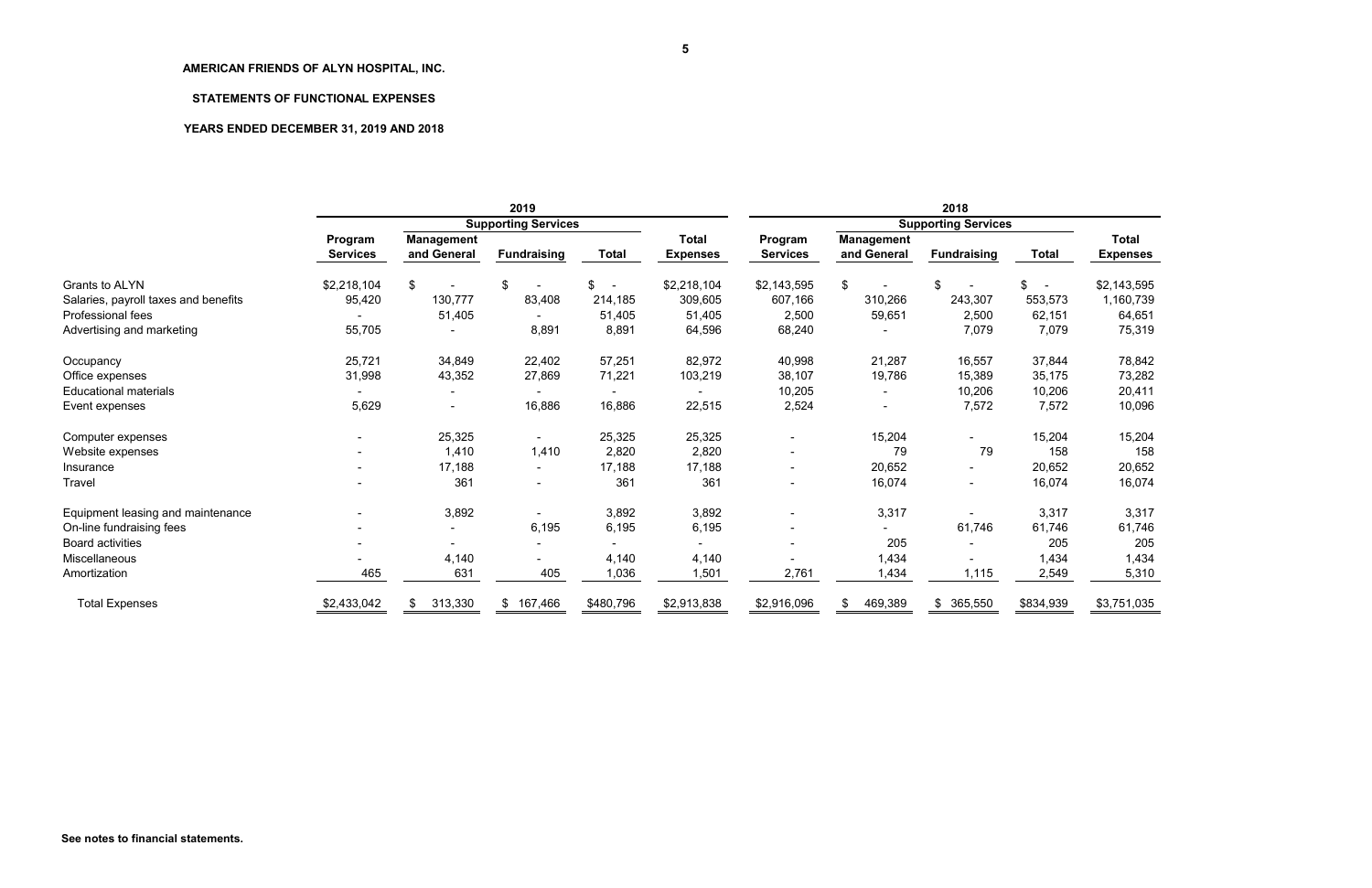|                                      |                            |                                  | 2019                     |              |                                 |                            |                                  | 2018               |                          |                                 |
|--------------------------------------|----------------------------|----------------------------------|--------------------------|--------------|---------------------------------|----------------------------|----------------------------------|--------------------|--------------------------|---------------------------------|
|                                      |                            | <b>Supporting Services</b>       |                          |              |                                 | <b>Supporting Services</b> |                                  |                    |                          |                                 |
|                                      | Program<br><b>Services</b> | <b>Management</b><br>and General | <b>Fundraising</b>       | <b>Total</b> | <b>Total</b><br><b>Expenses</b> | Program<br><b>Services</b> | <b>Management</b><br>and General | <b>Fundraising</b> | <b>Total</b>             | <b>Total</b><br><b>Expenses</b> |
| <b>Grants to ALYN</b>                | \$2,218,104                | \$                               | \$                       | \$           | \$2,218,104                     | \$2,143,595                | \$                               | \$                 | $\overline{\phantom{a}}$ | \$2,143,595                     |
| Salaries, payroll taxes and benefits | 95,420                     | 130,777                          | 83,408                   | 214,185      | 309,605                         | 607,166                    | 310,266                          | 243,307            | 553,573                  | 1,160,739                       |
| Professional fees                    |                            | 51,405                           |                          | 51,405       | 51,405                          | 2,500                      | 59,651                           | 2,500              | 62,151                   | 64,651                          |
| Advertising and marketing            | 55,705                     |                                  | 8,891                    | 8,891        | 64,596                          | 68,240                     |                                  | 7,079              | 7,079                    | 75,319                          |
| Occupancy                            | 25,721                     | 34,849                           | 22,402                   | 57,251       | 82,972                          | 40,998                     | 21,287                           | 16,557             | 37,844                   | 78,842                          |
| Office expenses                      | 31,998                     | 43,352                           | 27,869                   | 71,221       | 103,219                         | 38,107                     | 19,786                           | 15,389             | 35,175                   | 73,282                          |
| <b>Educational materials</b>         |                            |                                  |                          |              |                                 | 10,205                     |                                  | 10,206             | 10,206                   | 20,411                          |
| Event expenses                       | 5,629                      | $\overline{\phantom{a}}$         | 16,886                   | 16,886       | 22,515                          | 2,524                      | $\qquad \qquad \blacksquare$     | 7,572              | 7,572                    | 10,096                          |
| Computer expenses                    | $\blacksquare$             | 25,325                           | $\overline{\phantom{a}}$ | 25,325       | 25,325                          |                            | 15,204                           |                    | 15,204                   | 15,204                          |
| Website expenses                     |                            | 1,410                            | 1,410                    | 2,820        | 2,820                           | $\overline{\phantom{a}}$   | 79                               | 79                 | 158                      | 158                             |
| Insurance                            |                            | 17,188                           | $\overline{\phantom{a}}$ | 17,188       | 17,188                          |                            | 20,652                           |                    | 20,652                   | 20,652                          |
| <b>Travel</b>                        |                            | 361                              | $\overline{\phantom{a}}$ | 361          | 361                             |                            | 16,074                           |                    | 16,074                   | 16,074                          |
| Equipment leasing and maintenance    |                            | 3,892                            | $\overline{\phantom{a}}$ | 3,892        | 3,892                           |                            | 3,317                            |                    | 3,317                    | 3,317                           |
| On-line fundraising fees             |                            |                                  | 6,195                    | 6,195        | 6,195                           |                            |                                  | 61,746             | 61,746                   | 61,746                          |
| <b>Board activities</b>              |                            |                                  | $\overline{\phantom{a}}$ |              |                                 |                            | 205                              |                    | 205                      | 205                             |
| Miscellaneous                        |                            | 4,140                            |                          | 4,140        | 4,140                           |                            | 1,434                            |                    | 1,434                    | 1,434                           |
| Amortization                         | 465                        | 631                              | 405                      | 1,036        | 1,501                           | 2,761                      | 1,434                            | 1,115              | 2,549                    | 5,310                           |
| <b>Total Expenses</b>                | \$2,433,042                | 313,330                          | $\mathbb{S}$<br>167,466  | \$480,796    | \$2,913,838                     | \$2,916,096                | 469,389<br>\$                    | \$<br>365,550      | \$834,939                | \$3,751,035                     |

# **STATEMENTS OF FUNCTIONAL EXPENSES**

# **AMERICAN FRIENDS OF ALYN HOSPITAL, INC.**

# **YEARS ENDED DECEMBER 31, 2019 AND 2018**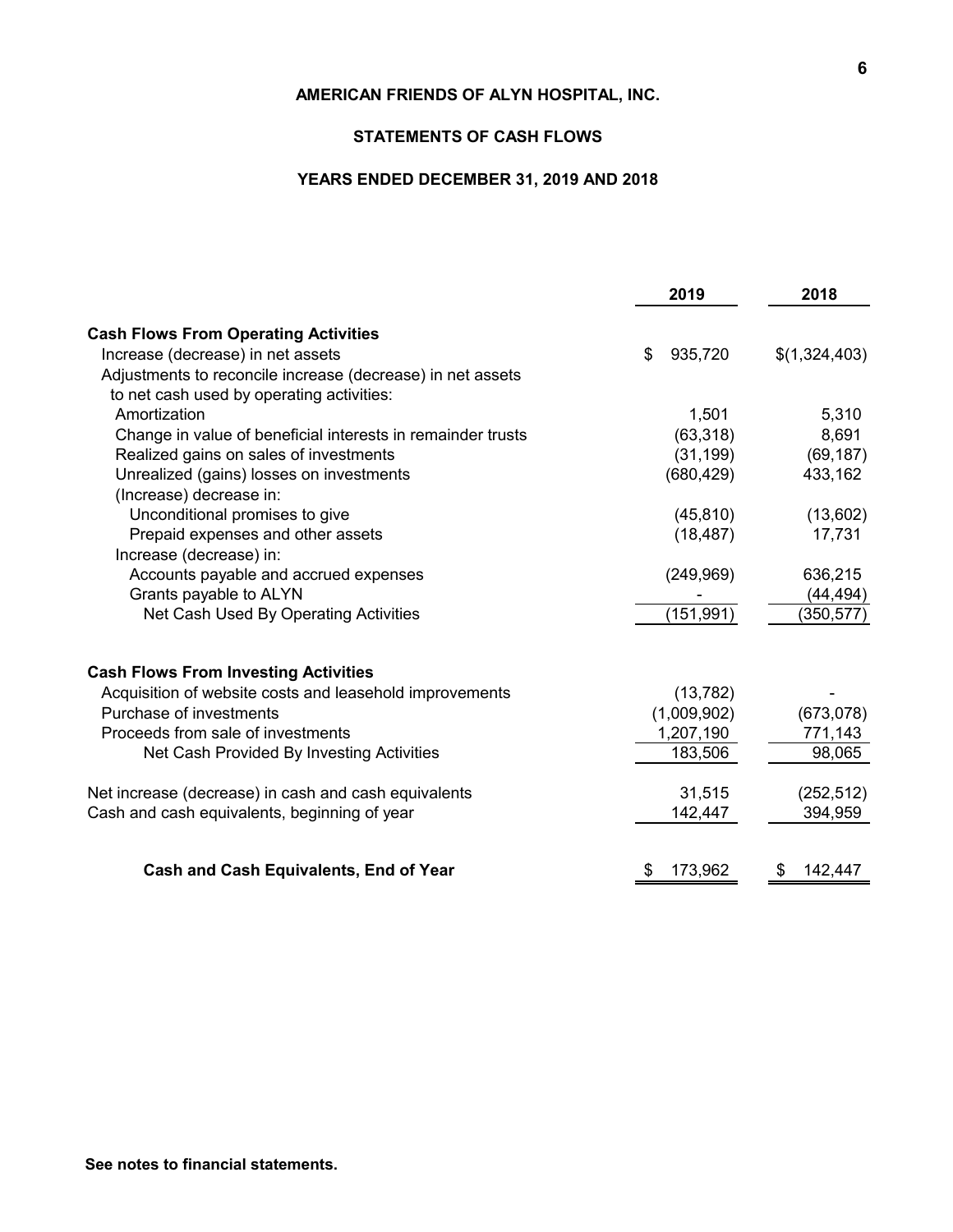#### **STATEMENTS OF CASH FLOWS**

# **YEARS ENDED DECEMBER 31, 2019 AND 2018**

|                                                             | 2019          | 2018          |
|-------------------------------------------------------------|---------------|---------------|
| <b>Cash Flows From Operating Activities</b>                 |               |               |
| Increase (decrease) in net assets                           | 935,720<br>\$ | \$(1,324,403) |
| Adjustments to reconcile increase (decrease) in net assets  |               |               |
| to net cash used by operating activities:                   |               |               |
| Amortization                                                | 1,501         | 5,310         |
| Change in value of beneficial interests in remainder trusts | (63, 318)     | 8,691         |
| Realized gains on sales of investments                      | (31, 199)     | (69, 187)     |
| Unrealized (gains) losses on investments                    | (680, 429)    | 433,162       |
| (Increase) decrease in:                                     |               |               |
| Unconditional promises to give                              | (45, 810)     | (13,602)      |
| Prepaid expenses and other assets                           | (18, 487)     | 17,731        |
| Increase (decrease) in:                                     |               |               |
| Accounts payable and accrued expenses                       | (249, 969)    | 636,215       |
| Grants payable to ALYN                                      |               | (44, 494)     |
| Net Cash Used By Operating Activities                       | (151, 991)    | (350,577)     |
| <b>Cash Flows From Investing Activities</b>                 |               |               |
| Acquisition of website costs and leasehold improvements     | (13, 782)     |               |
| Purchase of investments                                     | (1,009,902)   | (673,078)     |
| Proceeds from sale of investments                           | 1,207,190     | 771,143       |
| Net Cash Provided By Investing Activities                   | 183,506       | 98,065        |
| Net increase (decrease) in cash and cash equivalents        | 31,515        | (252, 512)    |
| Cash and cash equivalents, beginning of year                | 142,447       | 394,959       |
|                                                             |               |               |
| Cash and Cash Equivalents, End of Year                      | 173,962       | 142,447       |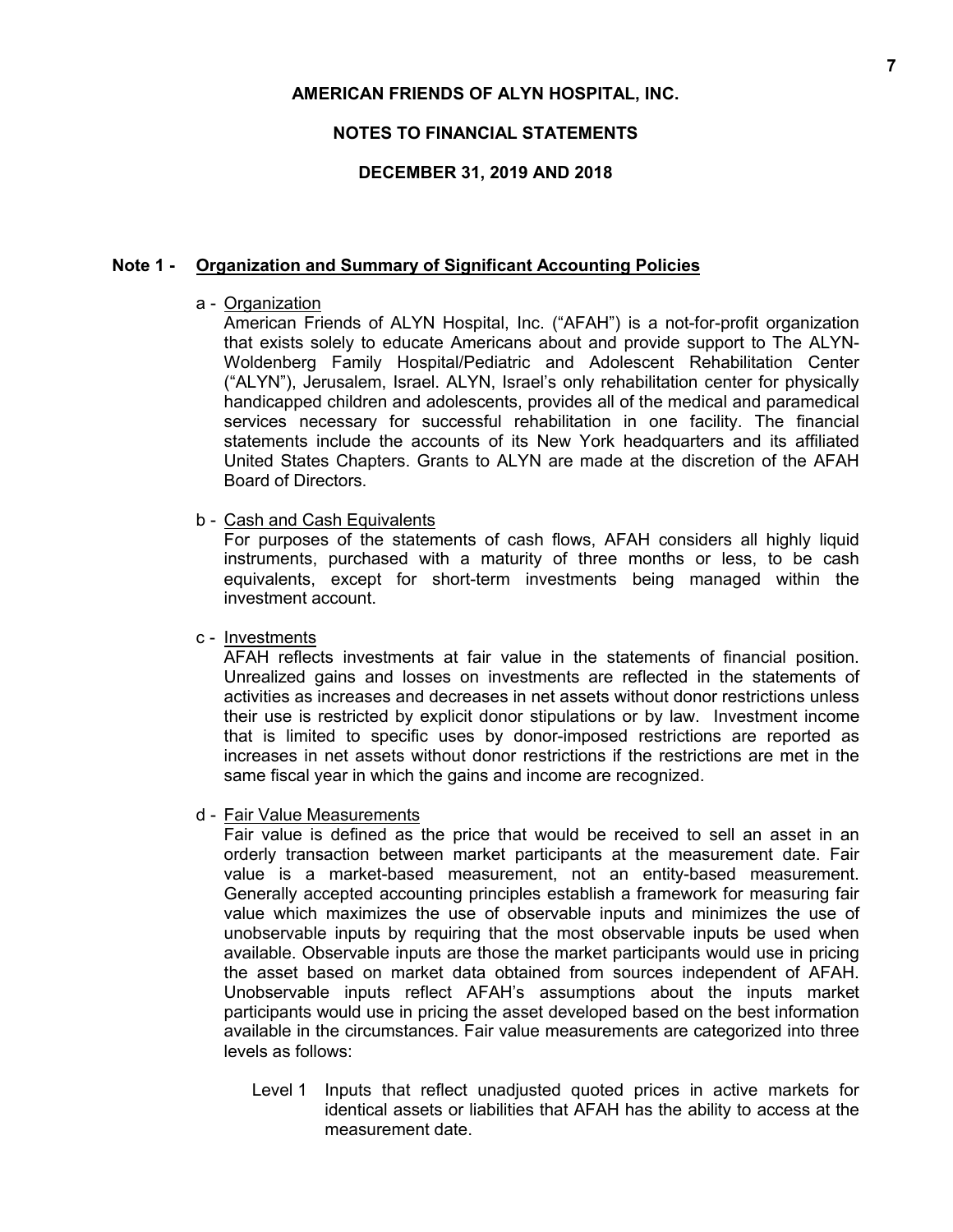### **NOTES TO FINANCIAL STATEMENTS**

#### **DECEMBER 31, 2019 AND 2018**

#### **Note 1 - Organization and Summary of Significant Accounting Policies**

#### a - Organization

American Friends of ALYN Hospital, Inc. ("AFAH") is a not-for-profit organization that exists solely to educate Americans about and provide support to The ALYN-Woldenberg Family Hospital/Pediatric and Adolescent Rehabilitation Center ("ALYN"), Jerusalem, Israel. ALYN, Israel's only rehabilitation center for physically handicapped children and adolescents, provides all of the medical and paramedical services necessary for successful rehabilitation in one facility. The financial statements include the accounts of its New York headquarters and its affiliated United States Chapters. Grants to ALYN are made at the discretion of the AFAH Board of Directors.

b - Cash and Cash Equivalents

For purposes of the statements of cash flows, AFAH considers all highly liquid instruments, purchased with a maturity of three months or less, to be cash equivalents, except for short-term investments being managed within the investment account.

#### c - Investments

AFAH reflects investments at fair value in the statements of financial position. Unrealized gains and losses on investments are reflected in the statements of activities as increases and decreases in net assets without donor restrictions unless their use is restricted by explicit donor stipulations or by law. Investment income that is limited to specific uses by donor-imposed restrictions are reported as increases in net assets without donor restrictions if the restrictions are met in the same fiscal year in which the gains and income are recognized.

d - Fair Value Measurements

Fair value is defined as the price that would be received to sell an asset in an orderly transaction between market participants at the measurement date. Fair value is a market-based measurement, not an entity-based measurement. Generally accepted accounting principles establish a framework for measuring fair value which maximizes the use of observable inputs and minimizes the use of unobservable inputs by requiring that the most observable inputs be used when available. Observable inputs are those the market participants would use in pricing the asset based on market data obtained from sources independent of AFAH. Unobservable inputs reflect AFAH's assumptions about the inputs market participants would use in pricing the asset developed based on the best information available in the circumstances. Fair value measurements are categorized into three levels as follows:

Level 1 Inputs that reflect unadjusted quoted prices in active markets for identical assets or liabilities that AFAH has the ability to access at the measurement date.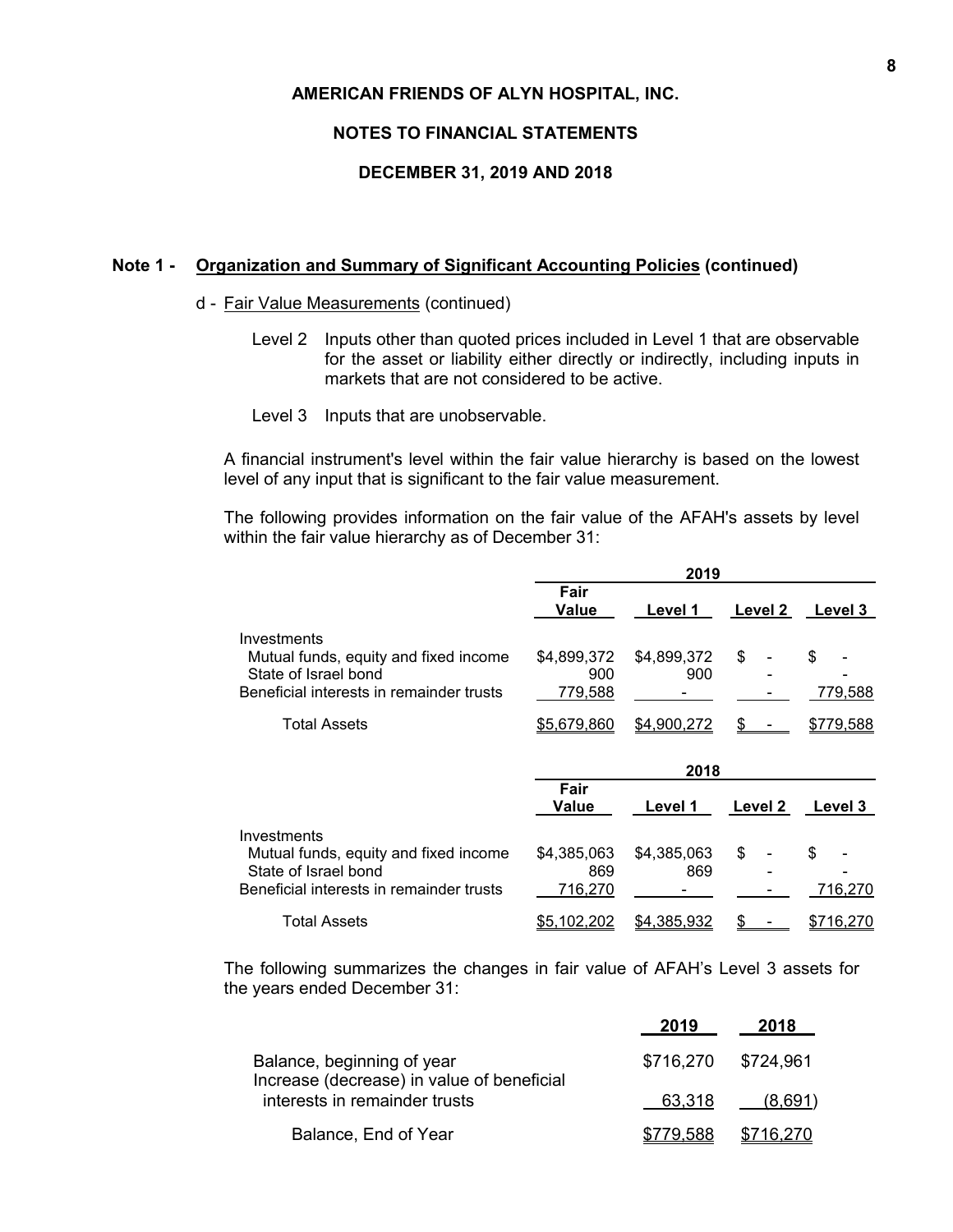#### **NOTES TO FINANCIAL STATEMENTS**

### **DECEMBER 31, 2019 AND 2018**

# **Note 1 - Organization and Summary of Significant Accounting Policies (continued)**

#### d - Fair Value Measurements (continued)

- Level 2 Inputs other than quoted prices included in Level 1 that are observable for the asset or liability either directly or indirectly, including inputs in markets that are not considered to be active.
- Level 3 Inputs that are unobservable.

A financial instrument's level within the fair value hierarchy is based on the lowest level of any input that is significant to the fair value measurement.

The following provides information on the fair value of the AFAH's assets by level within the fair value hierarchy as of December 31:

|                                                                                                                                                 |                                              | 2019                              |         |                             |
|-------------------------------------------------------------------------------------------------------------------------------------------------|----------------------------------------------|-----------------------------------|---------|-----------------------------|
|                                                                                                                                                 | Fair<br>Value                                | Level 1                           | Level 2 | Level 3                     |
| Investments<br>Mutual funds, equity and fixed income<br>State of Israel bond<br>Beneficial interests in remainder trusts<br><b>Total Assets</b> | \$4,899,372<br>900<br>779.588<br>\$5,679,860 | \$4,899,372<br>900<br>\$4,900,272 | \$      | \$.<br>779,588<br>\$779.588 |
|                                                                                                                                                 |                                              | 2018                              |         |                             |
|                                                                                                                                                 | Fair<br>Value                                | Level 1                           | Level 2 | Level 3                     |
| Investments<br>Mutual funds, equity and fixed income<br>State of Israel bond<br>Beneficial interests in remainder trusts                        | \$4,385,063<br>869<br>716,270                | \$4,385,063<br>869                | \$      | \$<br>716,270               |
| <b>Total Assets</b>                                                                                                                             | \$5.102.202                                  | \$4,385,932                       |         | \$716.270                   |

The following summarizes the changes in fair value of AFAH's Level 3 assets for the years ended December 31:

|                                                                          | 2019                | 2018      |
|--------------------------------------------------------------------------|---------------------|-----------|
| Balance, beginning of year<br>Increase (decrease) in value of beneficial | \$716,270 \$724,961 |           |
| interests in remainder trusts                                            | 63,318              | (8,691)   |
| Balance, End of Year                                                     | <u>\$779,588</u>    | \$716,270 |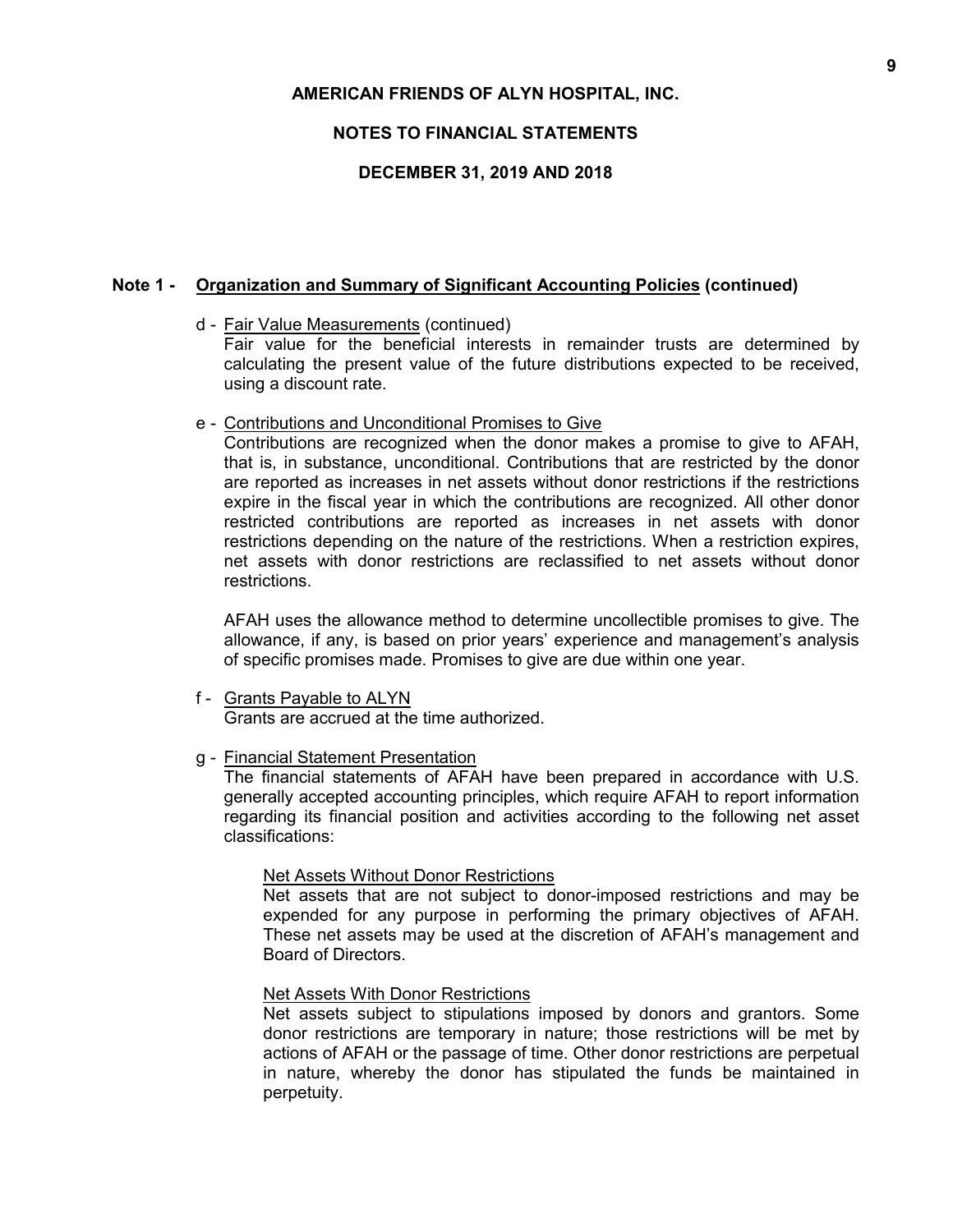#### **NOTES TO FINANCIAL STATEMENTS**

#### **DECEMBER 31, 2019 AND 2018**

#### **Note 1 - Organization and Summary of Significant Accounting Policies (continued)**

#### d - Fair Value Measurements (continued)

Fair value for the beneficial interests in remainder trusts are determined by calculating the present value of the future distributions expected to be received, using a discount rate.

#### e - Contributions and Unconditional Promises to Give

Contributions are recognized when the donor makes a promise to give to AFAH, that is, in substance, unconditional. Contributions that are restricted by the donor are reported as increases in net assets without donor restrictions if the restrictions expire in the fiscal year in which the contributions are recognized. All other donor restricted contributions are reported as increases in net assets with donor restrictions depending on the nature of the restrictions. When a restriction expires, net assets with donor restrictions are reclassified to net assets without donor restrictions.

AFAH uses the allowance method to determine uncollectible promises to give. The allowance, if any, is based on prior years' experience and management's analysis of specific promises made. Promises to give are due within one year.

f - Grants Payable to ALYN

Grants are accrued at the time authorized.

#### g - Financial Statement Presentation

The financial statements of AFAH have been prepared in accordance with U.S. generally accepted accounting principles, which require AFAH to report information regarding its financial position and activities according to the following net asset classifications:

#### Net Assets Without Donor Restrictions

Net assets that are not subject to donor-imposed restrictions and may be expended for any purpose in performing the primary objectives of AFAH. These net assets may be used at the discretion of AFAH's management and Board of Directors.

#### Net Assets With Donor Restrictions

Net assets subject to stipulations imposed by donors and grantors. Some donor restrictions are temporary in nature; those restrictions will be met by actions of AFAH or the passage of time. Other donor restrictions are perpetual in nature, whereby the donor has stipulated the funds be maintained in perpetuity.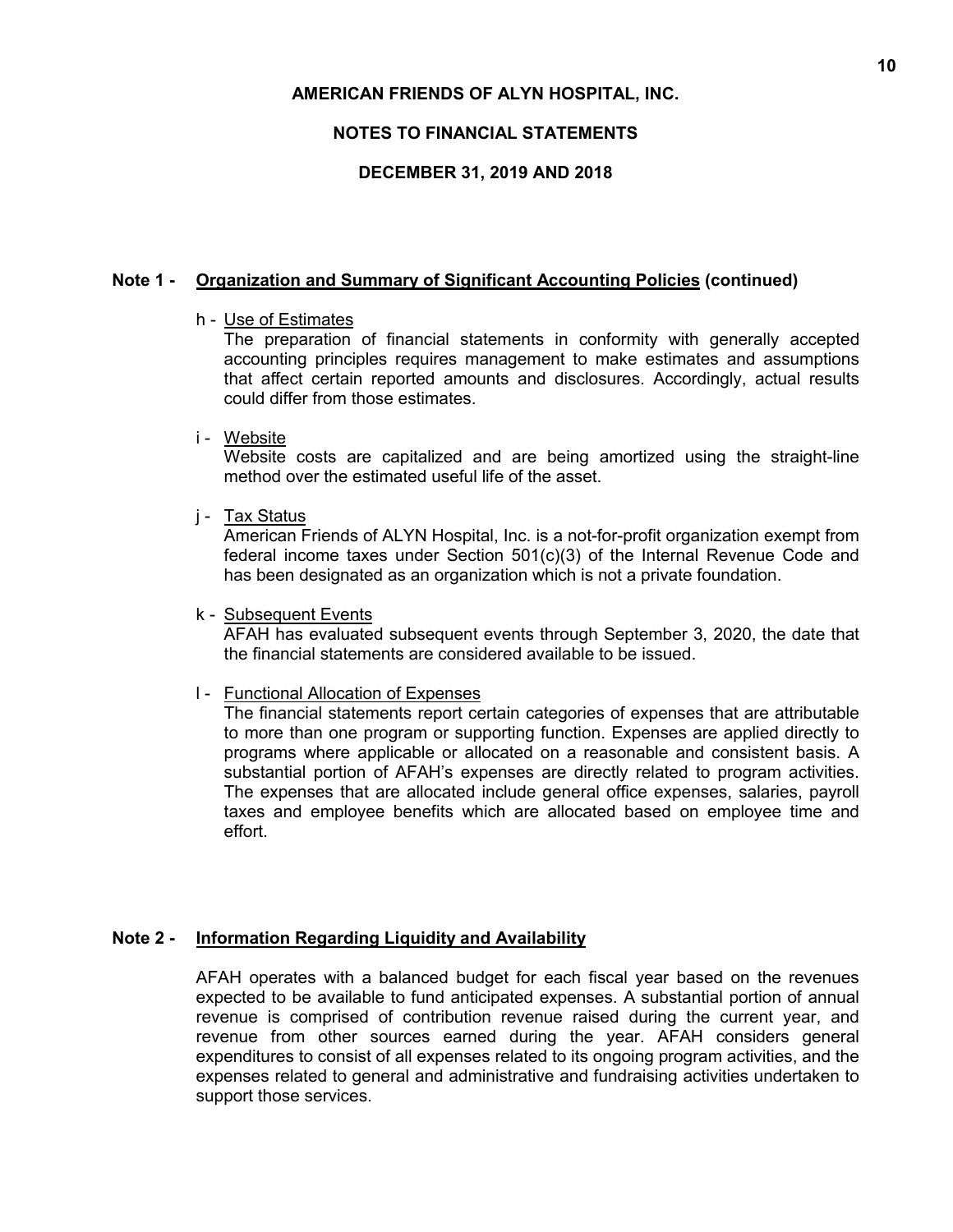# **NOTES TO FINANCIAL STATEMENTS**

# **DECEMBER 31, 2019 AND 2018**

### **Note 1 - Organization and Summary of Significant Accounting Policies (continued)**

### h - Use of Estimates

The preparation of financial statements in conformity with generally accepted accounting principles requires management to make estimates and assumptions that affect certain reported amounts and disclosures. Accordingly, actual results could differ from those estimates.

### i - Website

Website costs are capitalized and are being amortized using the straight-line method over the estimated useful life of the asset.

j - Tax Status

American Friends of ALYN Hospital, Inc. is a not-for-profit organization exempt from federal income taxes under Section 501(c)(3) of the Internal Revenue Code and has been designated as an organization which is not a private foundation.

### k - Subsequent Events

AFAH has evaluated subsequent events through September 3, 2020, the date that the financial statements are considered available to be issued.

### l - Functional Allocation of Expenses

The financial statements report certain categories of expenses that are attributable to more than one program or supporting function. Expenses are applied directly to programs where applicable or allocated on a reasonable and consistent basis. A substantial portion of AFAH's expenses are directly related to program activities. The expenses that are allocated include general office expenses, salaries, payroll taxes and employee benefits which are allocated based on employee time and effort.

# **Note 2 - Information Regarding Liquidity and Availability**

AFAH operates with a balanced budget for each fiscal year based on the revenues expected to be available to fund anticipated expenses. A substantial portion of annual revenue is comprised of contribution revenue raised during the current year, and revenue from other sources earned during the year. AFAH considers general expenditures to consist of all expenses related to its ongoing program activities, and the expenses related to general and administrative and fundraising activities undertaken to support those services.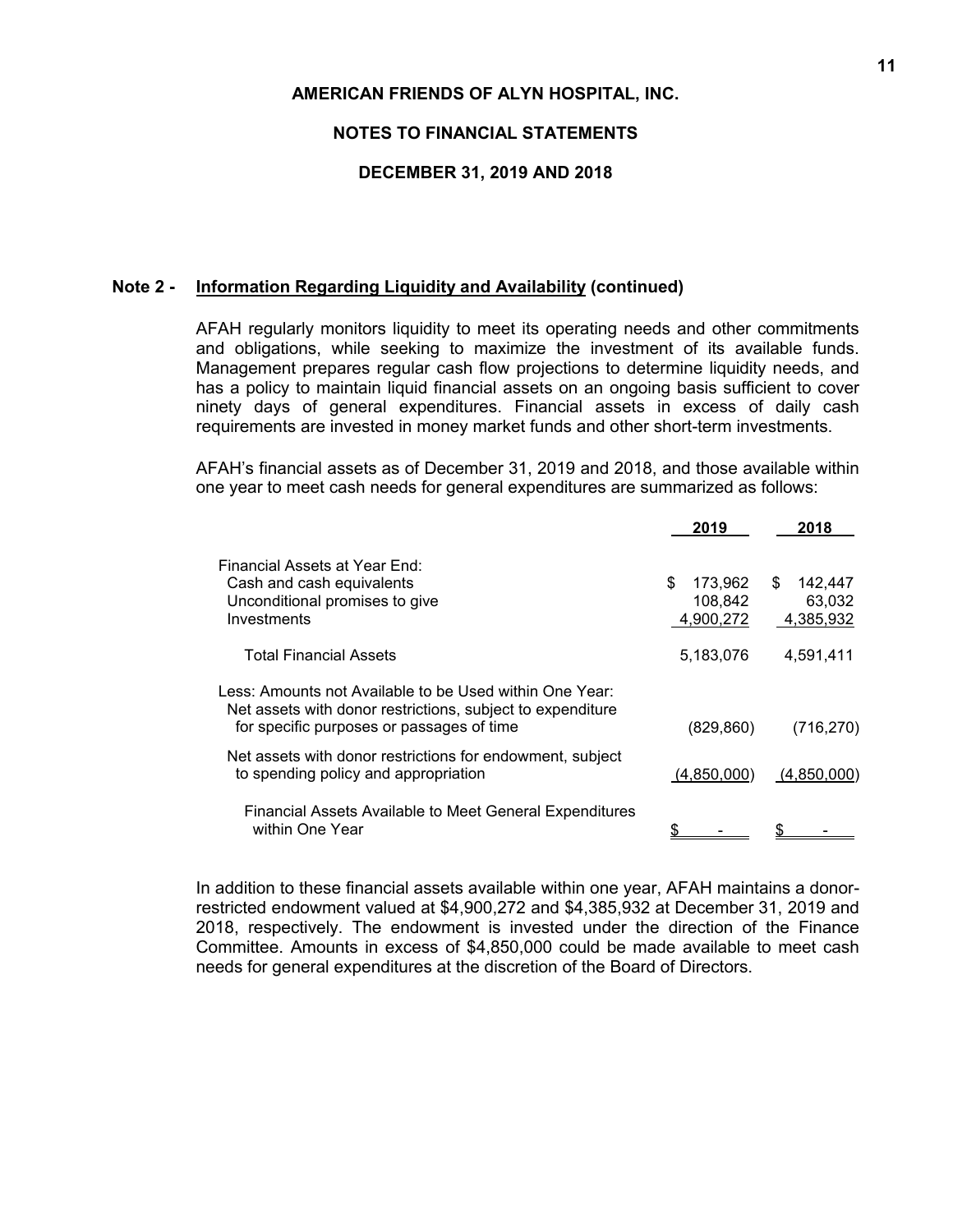#### **NOTES TO FINANCIAL STATEMENTS**

#### **DECEMBER 31, 2019 AND 2018**

#### **Note 2 - Information Regarding Liquidity and Availability (continued)**

AFAH regularly monitors liquidity to meet its operating needs and other commitments and obligations, while seeking to maximize the investment of its available funds. Management prepares regular cash flow projections to determine liquidity needs, and has a policy to maintain liquid financial assets on an ongoing basis sufficient to cover ninety days of general expenditures. Financial assets in excess of daily cash requirements are invested in money market funds and other short-term investments.

AFAH's financial assets as of December 31, 2019 and 2018, and those available within one year to meet cash needs for general expenditures are summarized as follows:

|                                                                                                                                                                    | 2019                                  | 2018                                 |
|--------------------------------------------------------------------------------------------------------------------------------------------------------------------|---------------------------------------|--------------------------------------|
| Financial Assets at Year End:<br>Cash and cash equivalents<br>Unconditional promises to give<br>Investments                                                        | \$<br>173,962<br>108,842<br>4,900,272 | \$<br>142,447<br>63,032<br>4,385,932 |
| <b>Total Financial Assets</b>                                                                                                                                      | 5,183,076                             | 4.591.411                            |
| Less: Amounts not Available to be Used within One Year:<br>Net assets with donor restrictions, subject to expenditure<br>for specific purposes or passages of time | (829, 860)                            | (716, 270)                           |
| Net assets with donor restrictions for endowment, subject<br>to spending policy and appropriation                                                                  | (4,850,000)                           | (4,850,000)                          |
| <b>Financial Assets Available to Meet General Expenditures</b><br>within One Year                                                                                  |                                       |                                      |

In addition to these financial assets available within one year, AFAH maintains a donorrestricted endowment valued at \$4,900,272 and \$4,385,932 at December 31, 2019 and 2018, respectively. The endowment is invested under the direction of the Finance Committee. Amounts in excess of \$4,850,000 could be made available to meet cash needs for general expenditures at the discretion of the Board of Directors.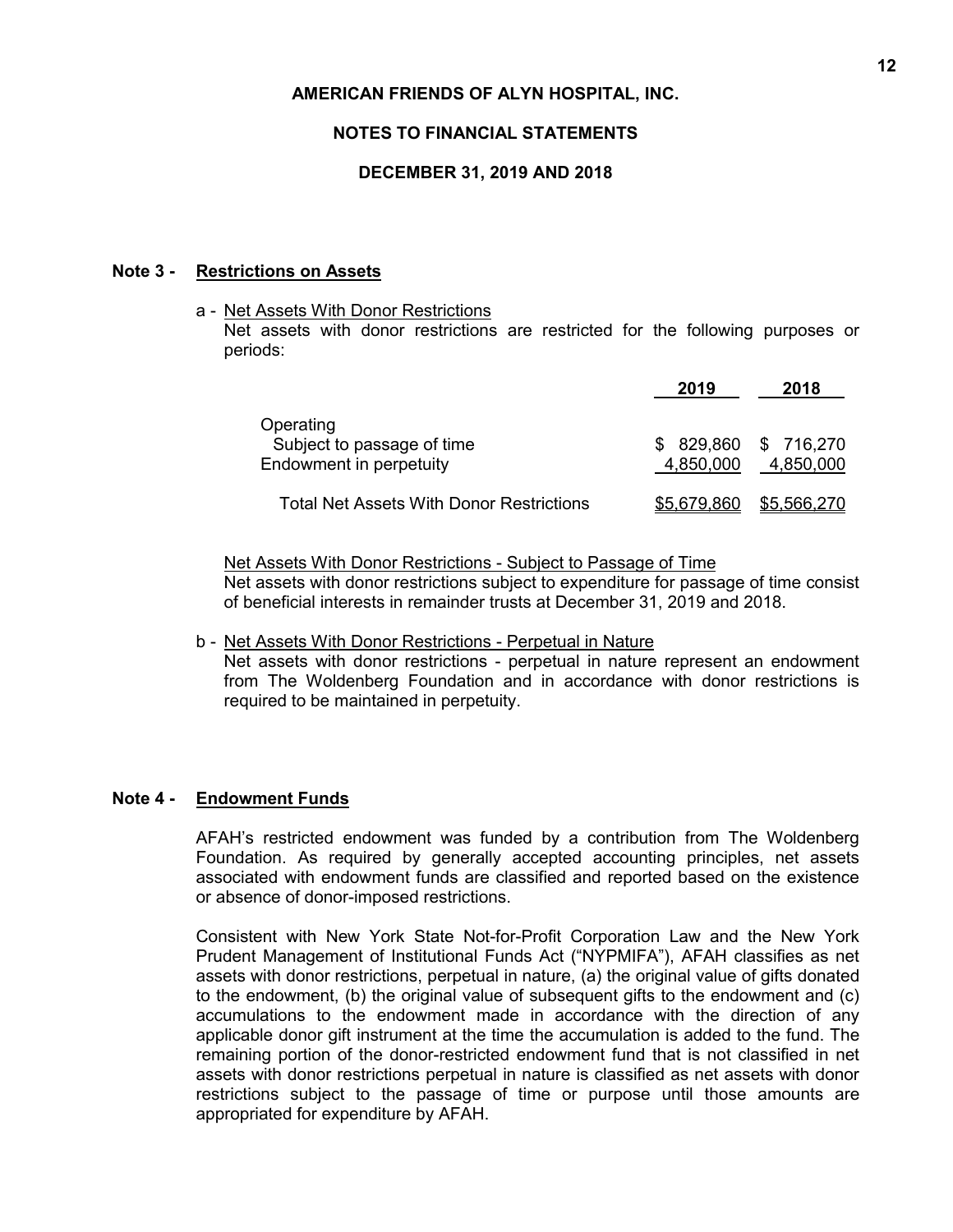### **NOTES TO FINANCIAL STATEMENTS**

#### **DECEMBER 31, 2019 AND 2018**

#### **Note 3 - Restrictions on Assets**

#### a - Net Assets With Donor Restrictions

Net assets with donor restrictions are restricted for the following purposes or periods:

|                                                                    | 2019             | 2018                            |
|--------------------------------------------------------------------|------------------|---------------------------------|
| Operating<br>Subject to passage of time<br>Endowment in perpetuity | \$.<br>4,850,000 | 829,860 \$ 716,270<br>4,850,000 |
| Total Net Assets With Donor Restrictions                           | \$5.679.860      | \$5,566,270                     |

Net Assets With Donor Restrictions - Subject to Passage of Time Net assets with donor restrictions subject to expenditure for passage of time consist of beneficial interests in remainder trusts at December 31, 2019 and 2018.

b - Net Assets With Donor Restrictions - Perpetual in Nature

Net assets with donor restrictions - perpetual in nature represent an endowment from The Woldenberg Foundation and in accordance with donor restrictions is required to be maintained in perpetuity.

### **Note 4 - Endowment Funds**

AFAH's restricted endowment was funded by a contribution from The Woldenberg Foundation. As required by generally accepted accounting principles, net assets associated with endowment funds are classified and reported based on the existence or absence of donor-imposed restrictions.

Consistent with New York State Not-for-Profit Corporation Law and the New York Prudent Management of Institutional Funds Act ("NYPMIFA"), AFAH classifies as net assets with donor restrictions, perpetual in nature, (a) the original value of gifts donated to the endowment, (b) the original value of subsequent gifts to the endowment and (c) accumulations to the endowment made in accordance with the direction of any applicable donor gift instrument at the time the accumulation is added to the fund. The remaining portion of the donor-restricted endowment fund that is not classified in net assets with donor restrictions perpetual in nature is classified as net assets with donor restrictions subject to the passage of time or purpose until those amounts are appropriated for expenditure by AFAH.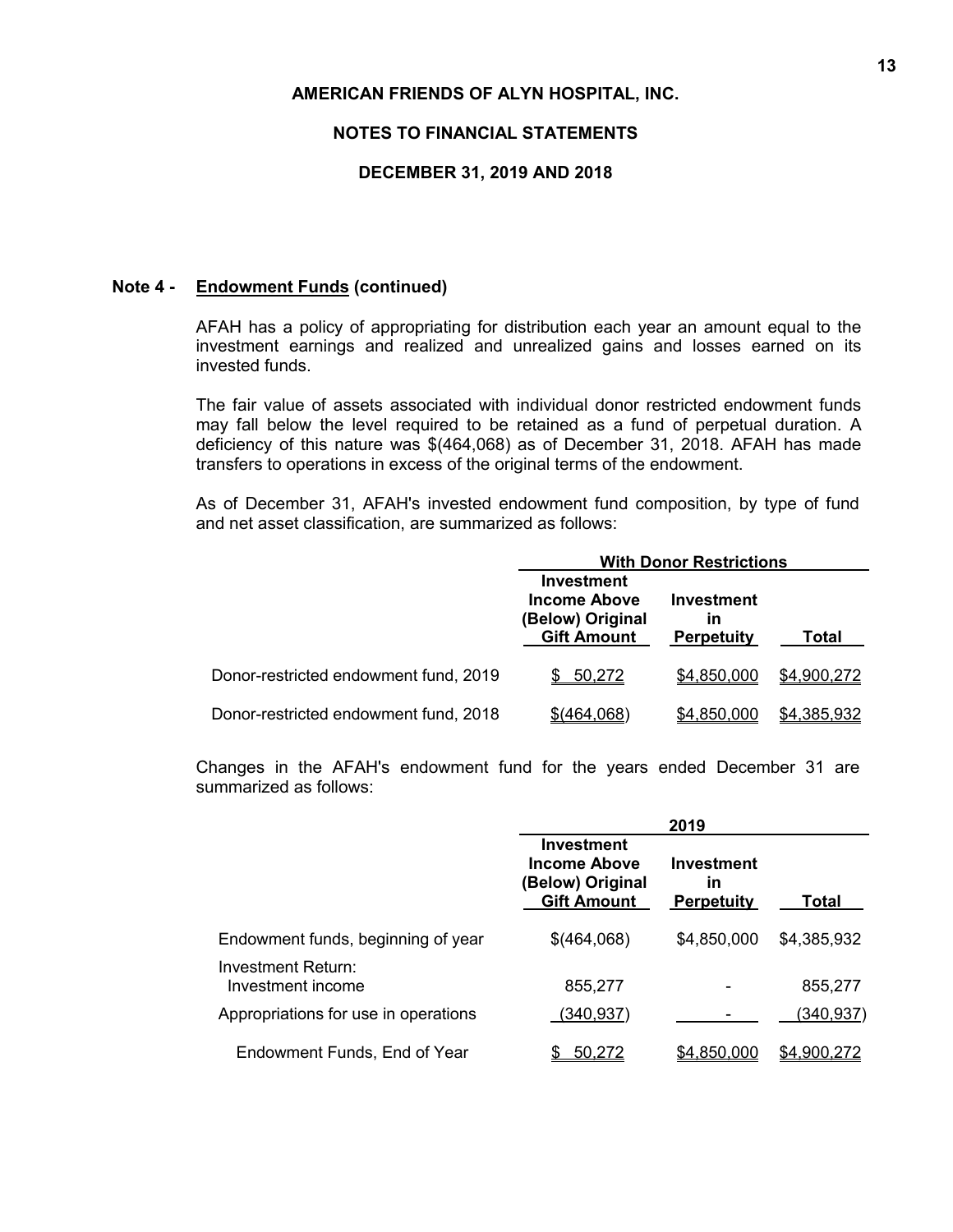#### **NOTES TO FINANCIAL STATEMENTS**

### **DECEMBER 31, 2019 AND 2018**

#### **Note 4 - Endowment Funds (continued)**

AFAH has a policy of appropriating for distribution each year an amount equal to the investment earnings and realized and unrealized gains and losses earned on its invested funds.

The fair value of assets associated with individual donor restricted endowment funds may fall below the level required to be retained as a fund of perpetual duration. A deficiency of this nature was \$(464,068) as of December 31, 2018. AFAH has made transfers to operations in excess of the original terms of the endowment.

As of December 31, AFAH's invested endowment fund composition, by type of fund and net asset classification, are summarized as follows:

|                                       | <b>With Donor Restrictions</b>                                              |                                       |             |  |
|---------------------------------------|-----------------------------------------------------------------------------|---------------------------------------|-------------|--|
|                                       | Investment<br><b>Income Above</b><br>(Below) Original<br><b>Gift Amount</b> | Investment<br>in<br><b>Perpetuity</b> | Total       |  |
| Donor-restricted endowment fund, 2019 | 50,272                                                                      | \$4,850,000                           | \$4,900,272 |  |
| Donor-restricted endowment fund, 2018 | \$(464,068)                                                                 | \$4,850,000                           | \$4,385,932 |  |

Changes in the AFAH's endowment fund for the years ended December 31 are summarized as follows:

|                                         | 2019                                                                        |                                       |             |  |
|-----------------------------------------|-----------------------------------------------------------------------------|---------------------------------------|-------------|--|
|                                         | Investment<br><b>Income Above</b><br>(Below) Original<br><b>Gift Amount</b> | Investment<br>in<br><b>Perpetuity</b> | Total       |  |
| Endowment funds, beginning of year      | \$(464,068)                                                                 | \$4,850,000                           | \$4,385,932 |  |
| Investment Return:<br>Investment income | 855,277                                                                     |                                       | 855,277     |  |
| Appropriations for use in operations    | (340,937)                                                                   |                                       | (340,937)   |  |
| Endowment Funds, End of Year            | 50.272                                                                      | \$4.850.000                           | \$4.900.272 |  |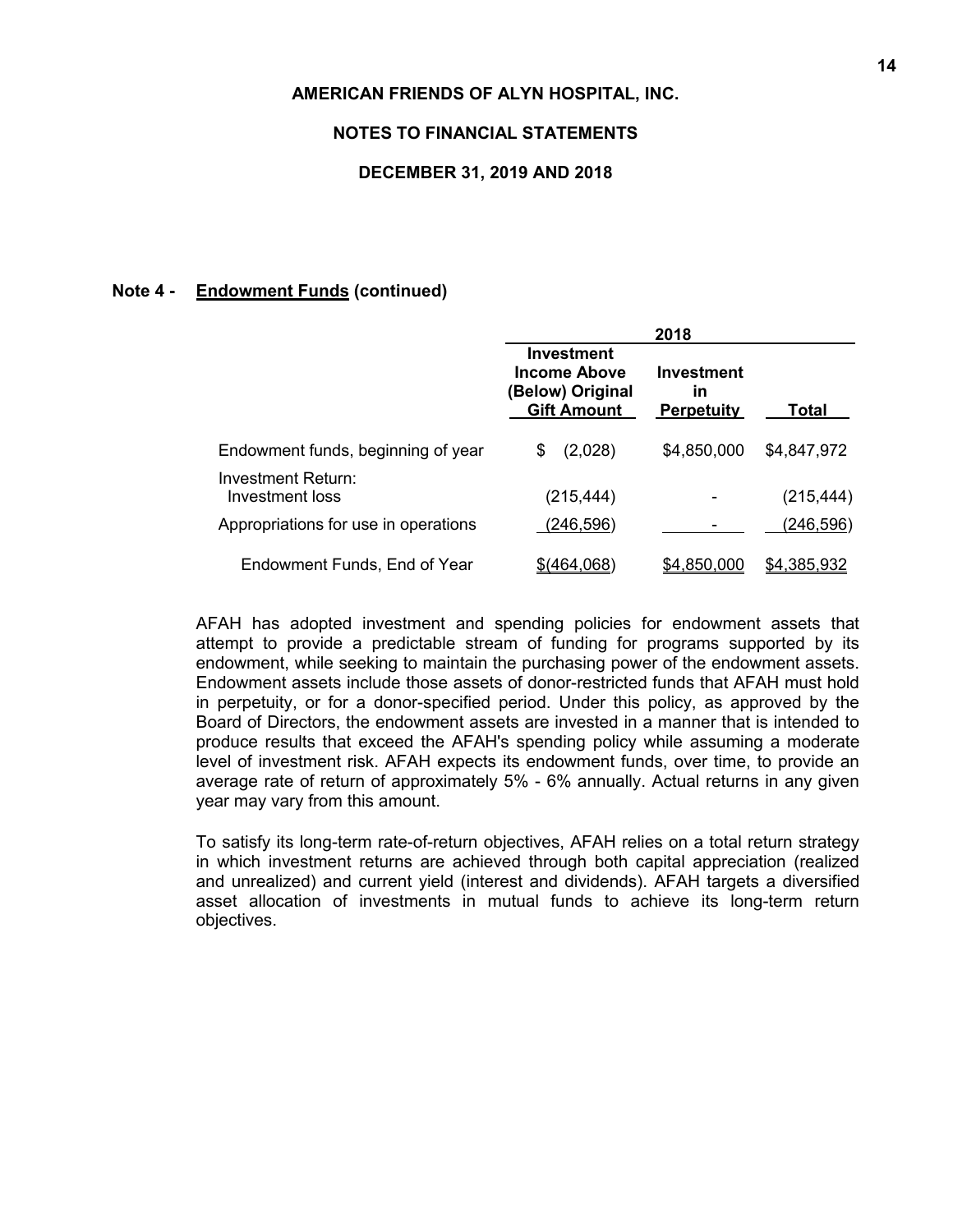#### **NOTES TO FINANCIAL STATEMENTS**

#### **DECEMBER 31, 2019 AND 2018**

### **Note 4 - Endowment Funds (continued)**

|                                       | 2018                                                                        |                                       |             |  |  |
|---------------------------------------|-----------------------------------------------------------------------------|---------------------------------------|-------------|--|--|
|                                       | Investment<br><b>Income Above</b><br>(Below) Original<br><b>Gift Amount</b> | Investment<br>in<br><b>Perpetuity</b> | Total       |  |  |
| Endowment funds, beginning of year    | (2,028)<br>\$                                                               | \$4,850,000                           | \$4,847,972 |  |  |
| Investment Return:<br>Investment loss | (215, 444)                                                                  |                                       | (215, 444)  |  |  |
| Appropriations for use in operations  | (246, 596)                                                                  |                                       | (246,596)   |  |  |
| Endowment Funds, End of Year          | \$(464.068)                                                                 | \$4.850.000                           | \$4,385,932 |  |  |

AFAH has adopted investment and spending policies for endowment assets that attempt to provide a predictable stream of funding for programs supported by its endowment, while seeking to maintain the purchasing power of the endowment assets. Endowment assets include those assets of donor-restricted funds that AFAH must hold in perpetuity, or for a donor-specified period. Under this policy, as approved by the Board of Directors, the endowment assets are invested in a manner that is intended to produce results that exceed the AFAH's spending policy while assuming a moderate level of investment risk. AFAH expects its endowment funds, over time, to provide an average rate of return of approximately 5% - 6% annually. Actual returns in any given year may vary from this amount.

To satisfy its long-term rate-of-return objectives, AFAH relies on a total return strategy in which investment returns are achieved through both capital appreciation (realized and unrealized) and current yield (interest and dividends). AFAH targets a diversified asset allocation of investments in mutual funds to achieve its long-term return objectives.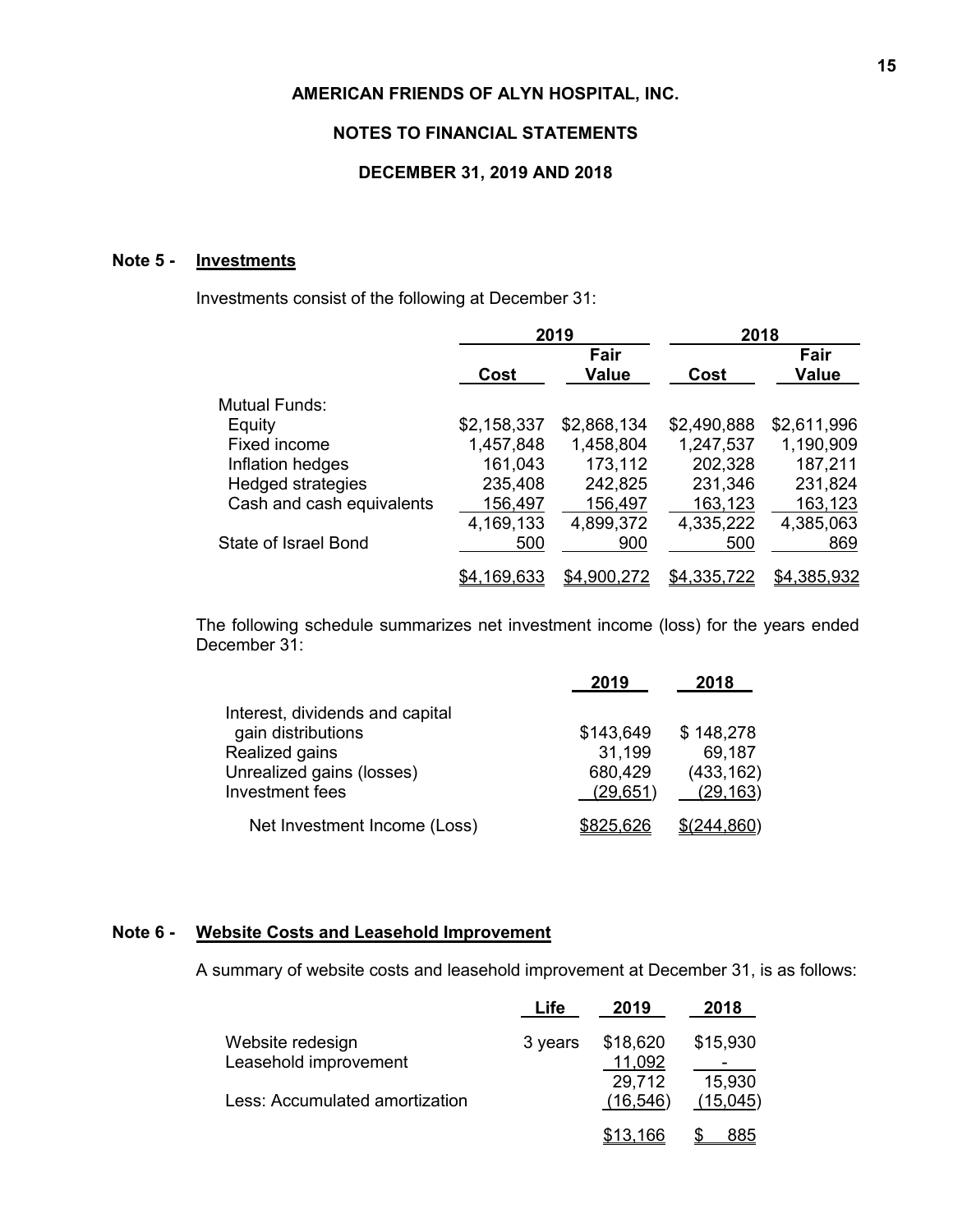### **NOTES TO FINANCIAL STATEMENTS**

### **DECEMBER 31, 2019 AND 2018**

# **Note 5 - Investments**

Investments consist of the following at December 31:

|                           | 2019               |                    | 2018        |                    |
|---------------------------|--------------------|--------------------|-------------|--------------------|
|                           | Cost               | Fair<br>Value      | Cost        | Fair<br>Value      |
| Mutual Funds:             |                    |                    |             |                    |
| Equity                    | \$2,158,337        | \$2,868,134        | \$2,490,888 | \$2,611,996        |
| Fixed income              | 1,457,848          | 1,458,804          | 1,247,537   | 1,190,909          |
| Inflation hedges          | 161,043            | 173,112            | 202,328     | 187,211            |
| <b>Hedged strategies</b>  | 235,408            | 242,825            | 231,346     | 231,824            |
| Cash and cash equivalents | 156,497            | 156,497            | 163,123     | 163,123            |
|                           | 4,169,133          | 4,899,372          | 4,335,222   | 4,385,063          |
| State of Israel Bond      | 500                | 900                | 500         | 869                |
|                           | <u>\$4,169,633</u> | <u>\$4,900,272</u> | \$4,335,722 | <u>\$4,385,932</u> |

The following schedule summarizes net investment income (loss) for the years ended December 31:

|                                 | 2019      | 2018       |
|---------------------------------|-----------|------------|
| Interest, dividends and capital |           |            |
| gain distributions              | \$143,649 | \$148,278  |
| Realized gains                  | 31,199    | 69,187     |
| Unrealized gains (losses)       | 680,429   | (433, 162) |
| Investment fees                 | (29, 651) | (29, 163)  |
| Net Investment Income (Loss)    | 825 626   | (244 ጸ60)  |

### **Note 6 - Website Costs and Leasehold Improvement**

A summary of website costs and leasehold improvement at December 31, is as follows:

|                                | Life    | 2019      | 2018     |
|--------------------------------|---------|-----------|----------|
| Website redesign               | 3 years | \$18,620  | \$15,930 |
| Leasehold improvement          |         | 11,092    |          |
|                                |         | 29,712    | 15,930   |
| Less: Accumulated amortization |         | (16, 546) | (15,045) |
|                                |         | \$13,166  | 885      |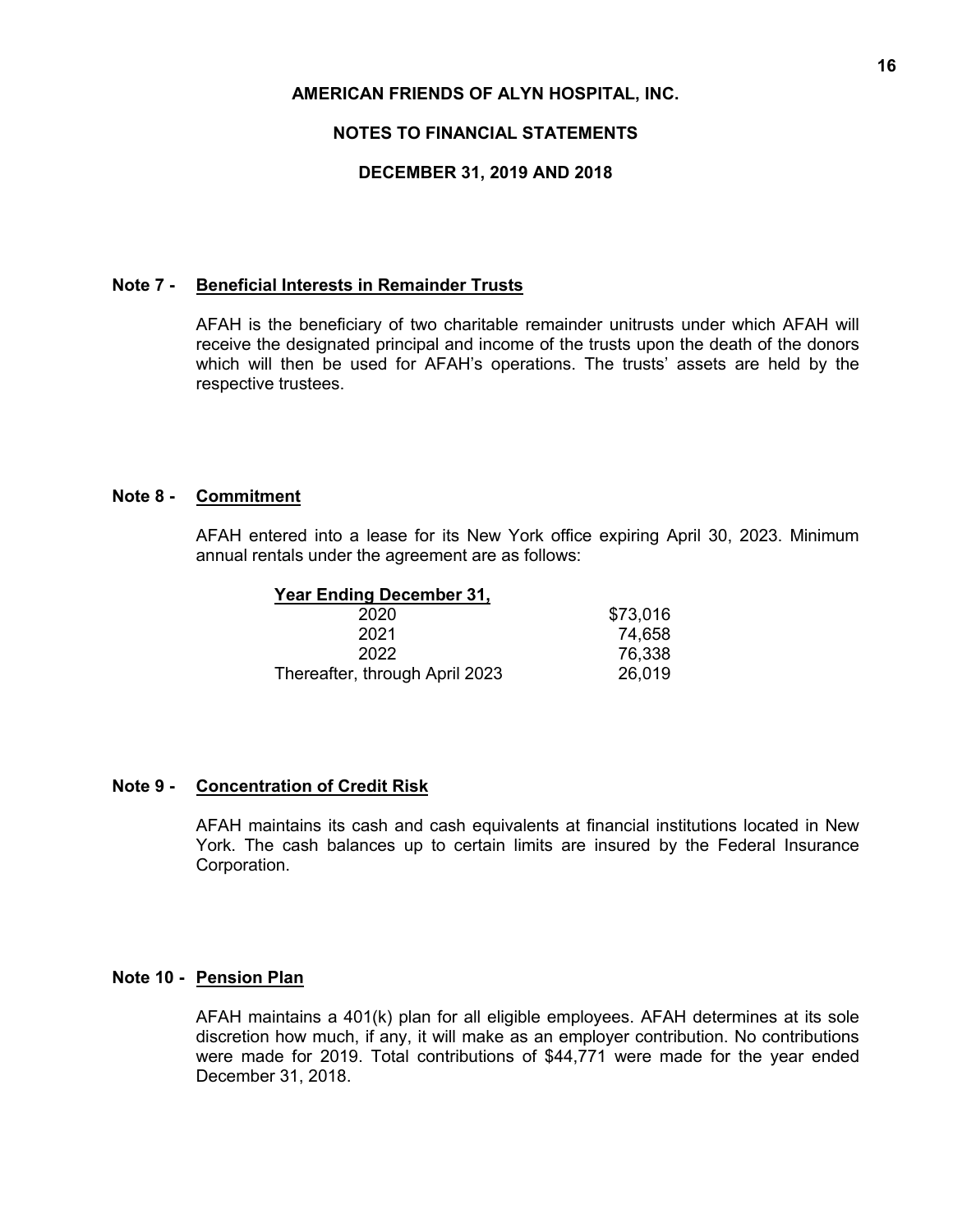## **NOTES TO FINANCIAL STATEMENTS**

### **DECEMBER 31, 2019 AND 2018**

#### **Note 7 - Beneficial Interests in Remainder Trusts**

AFAH is the beneficiary of two charitable remainder unitrusts under which AFAH will receive the designated principal and income of the trusts upon the death of the donors which will then be used for AFAH's operations. The trusts' assets are held by the respective trustees.

#### **Note 8 - Commitment**

AFAH entered into a lease for its New York office expiring April 30, 2023. Minimum annual rentals under the agreement are as follows:

| <b>Year Ending December 31,</b> |          |
|---------------------------------|----------|
| 2020                            | \$73,016 |
| 2021                            | 74,658   |
| 2022                            | 76,338   |
| Thereafter, through April 2023  | 26.019   |

### **Note 9 - Concentration of Credit Risk**

AFAH maintains its cash and cash equivalents at financial institutions located in New York. The cash balances up to certain limits are insured by the Federal Insurance Corporation.

#### **Note 10 - Pension Plan**

AFAH maintains a 401(k) plan for all eligible employees. AFAH determines at its sole discretion how much, if any, it will make as an employer contribution. No contributions were made for 2019. Total contributions of \$44,771 were made for the year ended December 31, 2018.